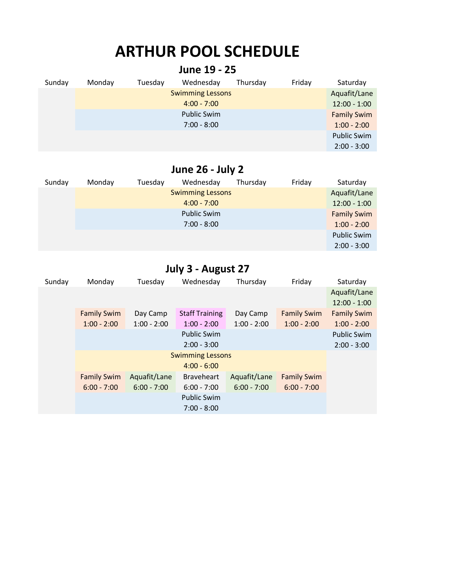# **ARTHUR POOL SCHEDULE**

| June 19 - 25 |        |                    |                         |          |        |                    |  |
|--------------|--------|--------------------|-------------------------|----------|--------|--------------------|--|
| Sunday       | Monday | Tuesday            | Wednesday               | Thursday | Friday | Saturday           |  |
|              |        |                    | <b>Swimming Lessons</b> |          |        | Aquafit/Lane       |  |
|              |        | $12:00 - 1:00$     |                         |          |        |                    |  |
|              |        | <b>Family Swim</b> |                         |          |        |                    |  |
|              |        |                    | $7:00 - 8:00$           |          |        | $1:00 - 2:00$      |  |
|              |        |                    |                         |          |        | <b>Public Swim</b> |  |
|              |        |                    |                         |          |        | $2:00 - 3:00$      |  |

## **June 26 - July 2**

| Sunday | Monday | Tuesday | Wednesday               | Thursday | Friday | Saturday           |
|--------|--------|---------|-------------------------|----------|--------|--------------------|
|        |        |         | <b>Swimming Lessons</b> |          |        | Aquafit/Lane       |
|        |        |         | $4:00 - 7:00$           |          |        | $12:00 - 1:00$     |
|        |        |         | <b>Public Swim</b>      |          |        | <b>Family Swim</b> |
|        |        |         | $7:00 - 8:00$           |          |        | $1:00 - 2:00$      |
|        |        |         |                         |          |        | <b>Public Swim</b> |
|        |        |         |                         |          |        | $2:00 - 3:00$      |

## **July 3 - August 27**

| Sunday | Monday             | Tuesday       | Wednesday             | Thursday      | Friday             | Saturday           |
|--------|--------------------|---------------|-----------------------|---------------|--------------------|--------------------|
|        |                    |               |                       |               |                    | Aquafit/Lane       |
|        |                    |               |                       |               |                    | $12:00 - 1:00$     |
|        | <b>Family Swim</b> | Day Camp      | <b>Staff Training</b> | Day Camp      | <b>Family Swim</b> | <b>Family Swim</b> |
|        | $1:00 - 2:00$      | $1:00 - 2:00$ | $1:00 - 2:00$         | $1:00 - 2:00$ | $1:00 - 2:00$      | $1:00 - 2:00$      |
|        |                    |               | <b>Public Swim</b>    |               |                    | <b>Public Swim</b> |
|        |                    |               | $2:00 - 3:00$         |               |                    | $2:00 - 3:00$      |
|        |                    |               |                       |               |                    |                    |
|        |                    |               | $4:00 - 6:00$         |               |                    |                    |
|        | <b>Family Swim</b> | Aquafit/Lane  | <b>Braveheart</b>     | Aquafit/Lane  | <b>Family Swim</b> |                    |
|        | $6:00 - 7:00$      | $6:00 - 7:00$ | $6:00 - 7:00$         | $6:00 - 7:00$ | $6:00 - 7:00$      |                    |
|        |                    |               | <b>Public Swim</b>    |               |                    |                    |
|        |                    |               | $7:00 - 8:00$         |               |                    |                    |